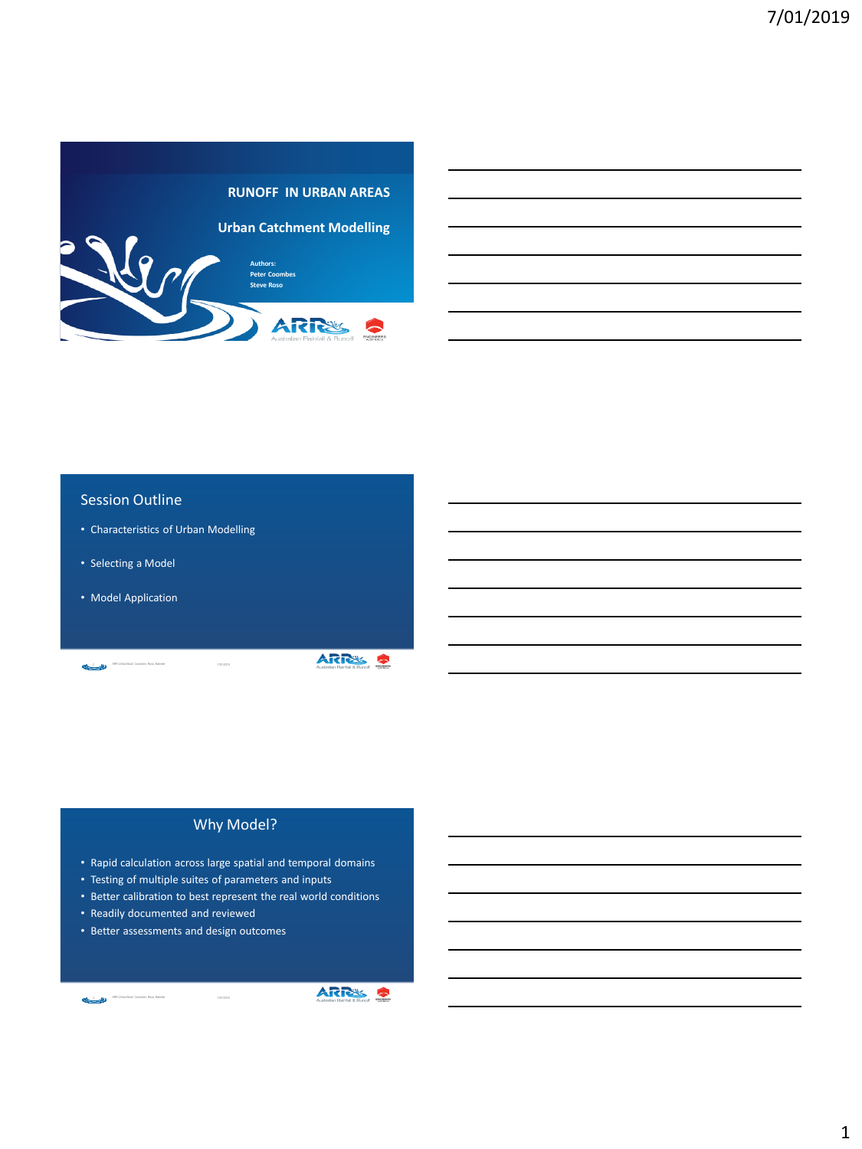

#### Session Outline

- Characteristics of Urban Modelling
- Selecting a Model
- Model Application

2 ARR Urban Book: Coombes, Roso, Babister 7/01/2019

ARRS &

#### Why Model?

- Rapid calculation across large spatial and temporal domains
- Testing of multiple suites of parameters and inputs
- Better calibration to best represent the real world conditions
- Readily documented and reviewed

ARR Urban Book: Coombes, Roso, Babister

• Better assessments and design outcomes



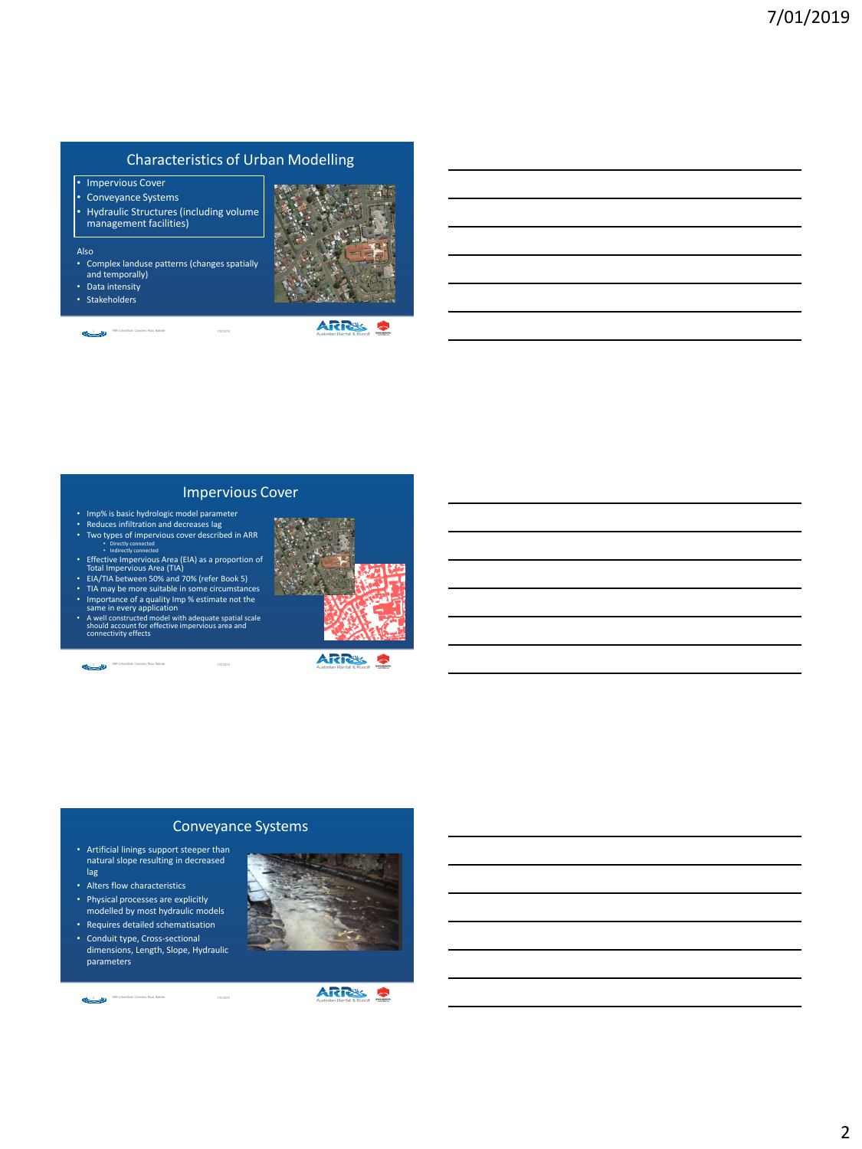#### Characteristics of Urban Modelling

- Impervious Cover
- Conveyance Systems
- Hydraulic Structures (including volume management facilities)

#### Also

- Complex landuse patterns (changes spatially and temporally)
- Data intensity
- Stakeholders

4 7/01/2019 ART Urban Book Coombas, Ross, Babidar<br>
2012/01/2019 ARR Urban Book: Coombes, Roso, Babister



**ARRES S** 

#### Impervious Cover

- Imp% is basic hydrologic model parameter Reduces infiltration and decreases lag
- Two types of impervious cover described in ARR<br>• Directly connected
- Indirectly connected Effective Impervious Area (EIA) as a proportion of Total Impervious Area (TIA) EIA/TIA between 50% and 70% (refer Book 5)
- 
- 
- 
- TIA may be more suitable in some circumstances<br>• Importance of a quality Imp % estimate not the<br>same in every application<br>• A well constructed model with adequate spatial scale<br>connectivity effects

5 2010 - ARR Urban Book: Coombes, Roso, Babister



**ARRS S** 

#### Conveyance Systems

- Artificial linings support steeper than natural slope resulting in decreased lag
- Alters flow characteristics
- Physical processes are explicitly
- modelled by most hydraulic models • Requires detailed schematisation
- Conduit type, Cross-sectional
- dimensions, Length, Slope, Hydraulic parameters

6 2012 ARR Urban Book: Coombex, Rosa, Babister ARR Urban Book: Coombes, Roso, Babister



# **ARRS S**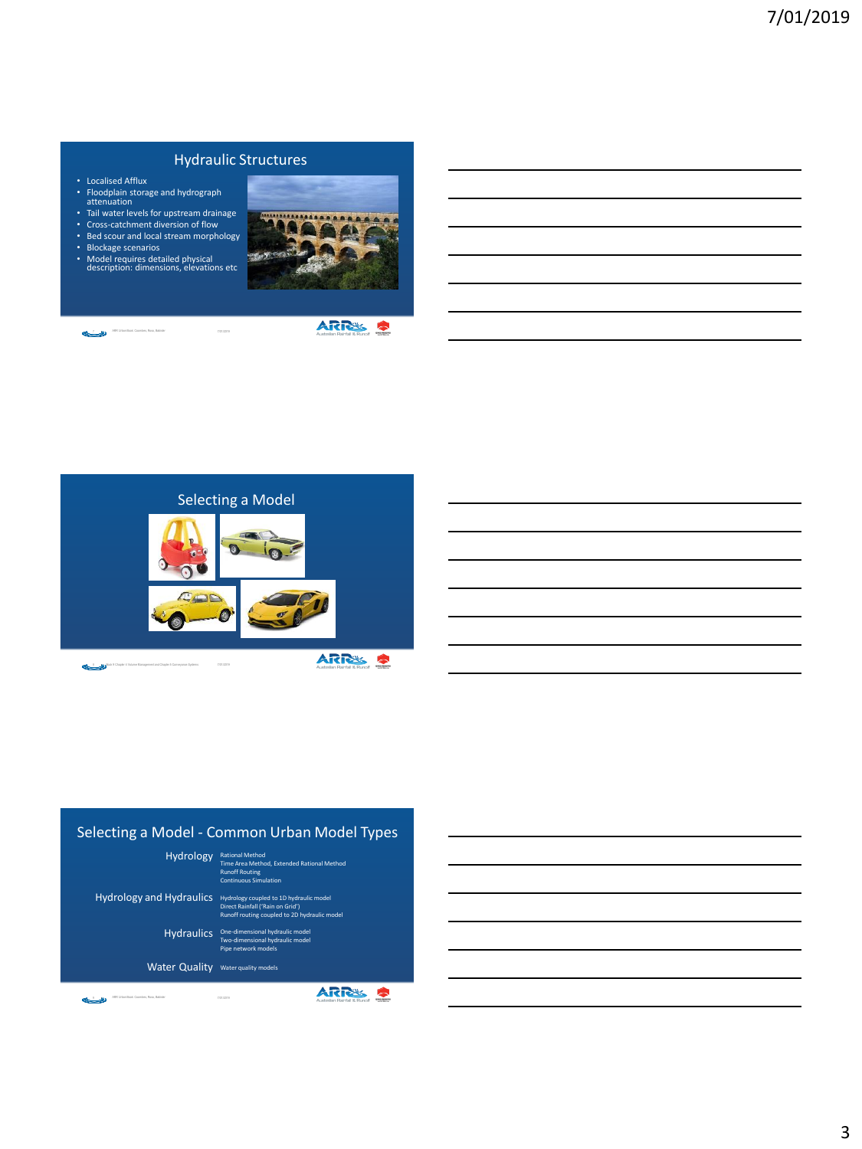# Hydraulic Structures

- Localised Afflux
- Floodplain storage and hydrograph attenuation
- Tail water levels for upstream drainage
- Cross-catchment diversion of flow • Bed scour and local stream morphology
- Blockage scenarios
- Model requires detailed physical description: dimensions, elevations etc



7 NGC 2018 71012019 71012019 ARR Urban Book: Coombes, Roso, Babister

ARRS S



### Selecting a Model - Common Urban Model Types

Rational Method Time Area Method, Extended Rational Method Runoff Routing Continuous Simulation Hydrology

Hydrology coupled to 1D hydraulic model Direct Rainfall ('Rain on Grid') Runoff routing coupled to 2D hydraulic model Hydrology and Hydraulics

> Hydraulics One-dimensional hydraulic model Two-dimensional hydraulic model Pipe network models

Water Quality Water quality models

9 7/01/2019 ARR Urban Book: Coombes, Roso, Babister

**ARRS S**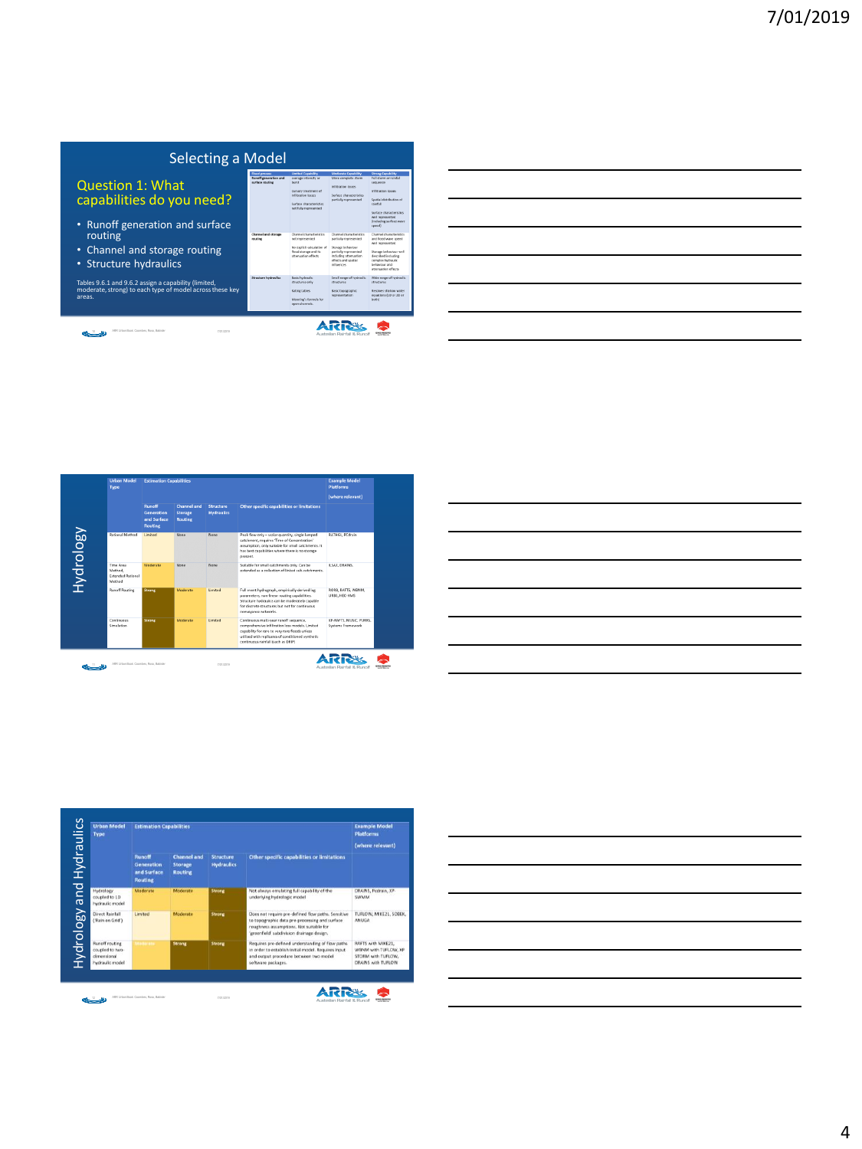| Selecting a Model                                                                                                          |                                                                          |                                                                                                                                                              |                                                                                                                                                              |                                                                                                                                                                                                                                                  |  |
|----------------------------------------------------------------------------------------------------------------------------|--------------------------------------------------------------------------|--------------------------------------------------------------------------------------------------------------------------------------------------------------|--------------------------------------------------------------------------------------------------------------------------------------------------------------|--------------------------------------------------------------------------------------------------------------------------------------------------------------------------------------------------------------------------------------------------|--|
| <b>Question 1: What</b><br>capabilities do you need?                                                                       | <b>Flood process</b><br><b>Runoff perveration and</b><br>surface routing | <b>Limited Capability</b><br>average intensity or<br>burst<br>Cursory treatment of<br>infibration losses<br>Surface characteristics<br>not fully represented | <b>Moderate Capability</b><br>More correlate storm<br>tellitration losses<br>Surface characteristics<br>partially represented                                | <b>Streeg Capability</b><br>Full storm or rainfall<br><b>SEGLIARDO</b><br><b>Indiffration Insures</b><br>Soutial distribution of<br>mirfall<br>Surface characteristics<br>well represented<br><b><i><u><u>Brokeling</u></u></i></b> surface www. |  |
| • Runoff generation and surface<br>routing<br>• Channel and storage routing<br>• Structure hydraulics                      | Channel and sharage<br>routing                                           | Channel characteristics<br>not represented<br>No explicit calculation of<br>flood storage and its<br>attenuation effects.                                    | Channel characteristics<br>partially represented<br>Storage behaviour<br>partially represented<br>including attenuation<br>effects and seatial<br>influences | Deams<br>Channel characteristics<br>and final ways speed.<br>and recommended<br>Storage behaviour well<br>described including<br>correles budracky.<br>habasiner and<br>attenuation effects                                                      |  |
| Tables 9.6.1 and 9.6.2 assign a capability (limited,<br>moderate, strong) to each type of model across these key<br>areas. | Structure hydraulics                                                     | <b>Basic hydraulic</b><br>structures only<br><b>Rating tables</b><br>Macroing's formula for<br>coan channels.                                                | Small range of hydraulic<br><b>STrucTures</b><br>Basic topographic<br>representation                                                                         | Wide range of hydraulic<br><i><b>ITAKTURE</b></i><br>Resolves shallow water<br>equations (10 or 20 or<br>bothů                                                                                                                                   |  |
| 400 Urban Brok Coumbax Bran Bahider<br>7101/2010                                                                           |                                                                          |                                                                                                                                                              | Australian Rainfall & Runoff                                                                                                                                 |                                                                                                                                                                                                                                                  |  |

| <u> 1989 - Johann Stoff, amerikansk politiker (d. 1989)</u> |  |  |
|-------------------------------------------------------------|--|--|
|                                                             |  |  |
|                                                             |  |  |
|                                                             |  |  |
|                                                             |  |  |
|                                                             |  |  |
|                                                             |  |  |
|                                                             |  |  |
|                                                             |  |  |
|                                                             |  |  |
|                                                             |  |  |
|                                                             |  |  |
|                                                             |  |  |
|                                                             |  |  |
|                                                             |  |  |
|                                                             |  |  |
|                                                             |  |  |
|                                                             |  |  |
|                                                             |  |  |
|                                                             |  |  |
|                                                             |  |  |
|                                                             |  |  |
|                                                             |  |  |
|                                                             |  |  |
|                                                             |  |  |
| the control of the control of the control of                |  |  |





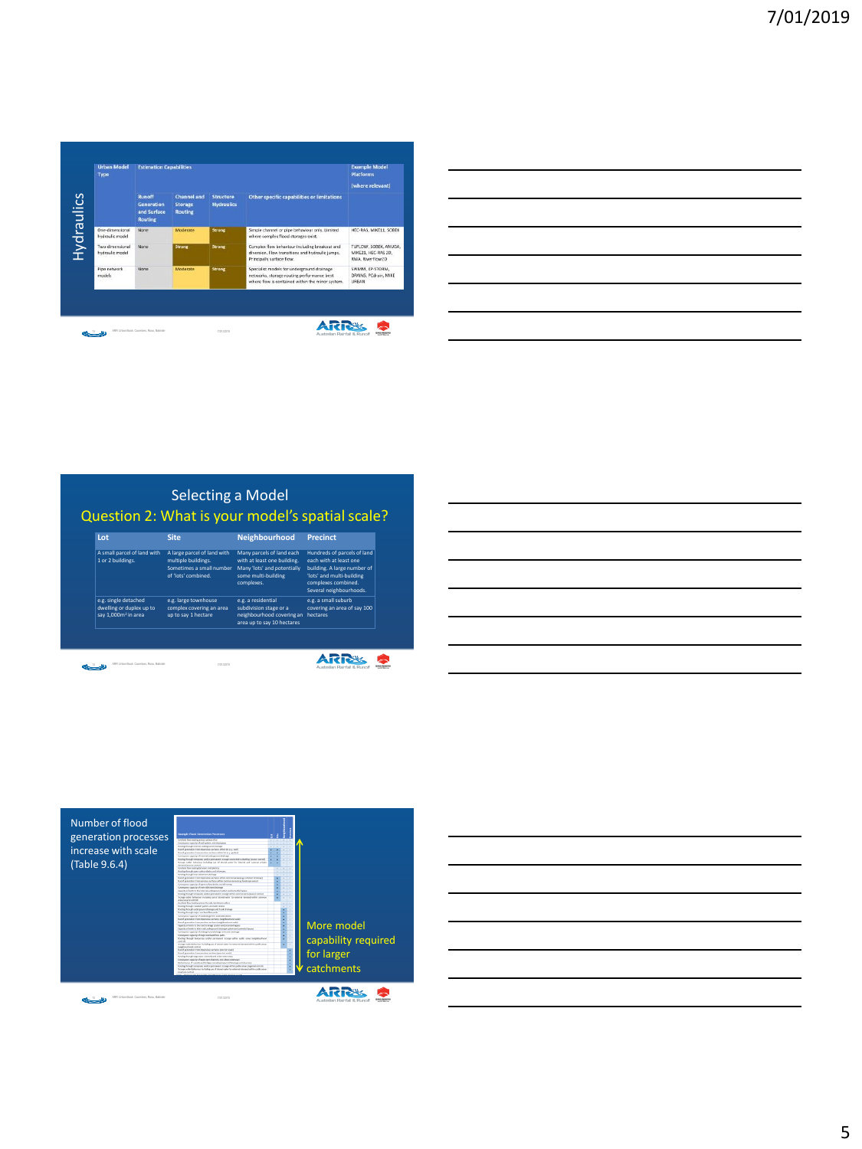| <b>Urban Model</b><br>Type         | <b>Estimation Capabilities</b>                        |                                                 |                                |                                                                                                                                               | <b>Example Model</b><br><b>Platforms</b>                         |
|------------------------------------|-------------------------------------------------------|-------------------------------------------------|--------------------------------|-----------------------------------------------------------------------------------------------------------------------------------------------|------------------------------------------------------------------|
|                                    | <b>Runoff</b><br>Generation<br>and Surface<br>Routing | <b>Channel and</b><br>Storage<br><b>Routing</b> | Structure<br><b>Hydraulics</b> | Other specific capabilities or limitations                                                                                                    | (where relevant)                                                 |
| One-dimensional<br>hydraulic model | None:                                                 | Moderate                                        | Strong                         | Simple channel or pipe behaviour only. Limited<br>where complex flood storages exist.                                                         | HEC-RAS, MIKE11, SOBEK                                           |
| Two-dimensional<br>hydraulic model | None                                                  | <b>Strong</b>                                   | <b>Strong</b>                  | Complex flow behaviour including breakout and<br>diversion. Flow transitions and hydraulic jumps.<br>Principally surface flow.                | TUFLOW, SOBEK, ANUGA,<br>MIKE21, HEC-RAS 2D.<br>RMA, RiverFlow2D |
| Pipe network<br>models             | None                                                  | Moderate                                        | Strong                         | Specialist models for underground drainage<br>networks, storage routing performance best.<br>where flow is contained within the minor system. | SWMM, XP-STORM,<br>DRAINS, PCdrain, MIKE<br><b>URBAN</b>         |

| <u> 1989 - Johann Harry Harry Harry Harry Harry Harry Harry Harry Harry Harry Harry Harry Harry Harry Harry Harry</u>  |  |                          |  |
|------------------------------------------------------------------------------------------------------------------------|--|--------------------------|--|
| <u> 1989 - Johann Barn, mars ann an t-Amhain ann an t-Amhain ann an t-Amhain ann an t-Amhain an t-Amhain ann an t-</u> |  |                          |  |
| <u> 1989 - Johann Barn, mars ann an t-Amhain ann an t-Amhain ann an t-Amhain ann an t-Amhain an t-Amhain ann an t-</u> |  |                          |  |
| <u> 1989 - Johann Barn, amerikan bernama di sebagai bernama dan bernama di sebagai bernama di sebagai bernama di</u>   |  |                          |  |
| <u> 1989 - Johann Stoff, Amerikaansk politiker (* 1958)</u>                                                            |  | $\overline{\phantom{a}}$ |  |
| <u> 1989 - Andrea Andrew Maria (h. 1989).</u>                                                                          |  |                          |  |
|                                                                                                                        |  |                          |  |

# Question 2: What is your model's spatial scale? **Lot Site Neighbourhood Precinct** A small parcel of land with 1 or 2 buildings. A large parcel of land with multiple buildings. Sometimes a small number of 'lots' combined. Many parcels of land each with at least one building. Many 'lots' and potentially some multi-building complexes. Hundreds of parcels of land each with at least one building. A large number of 'lots' and multi-building complexes combined. Several neighbourhoods. Selecting a Model

e.g. a residential subdivision stage or a neighbourhood covering an area up to say 10 hectares

e.g. a small suburb covering an area of say 100 hecta

ARRS &

e.g. large townhouse complex covering an area up to say 1 hectare

14 2001 2012 2019 Total Book: Coombes, Roso, Babister

e.g. single detached dwelling or duplex up to say 1,000m<sup>2</sup> in area

| <u> 1989 - Johann Stoff, deutscher Stoff, der Stoff, der Stoff, der Stoff, der Stoff, der Stoff, der Stoff, der S</u> |  |  |
|-----------------------------------------------------------------------------------------------------------------------|--|--|
|                                                                                                                       |  |  |
|                                                                                                                       |  |  |
| <u> La componente de la contrada de la contrada de la contrada de la contrada de la contrada de la contrada de la</u> |  |  |
|                                                                                                                       |  |  |
|                                                                                                                       |  |  |



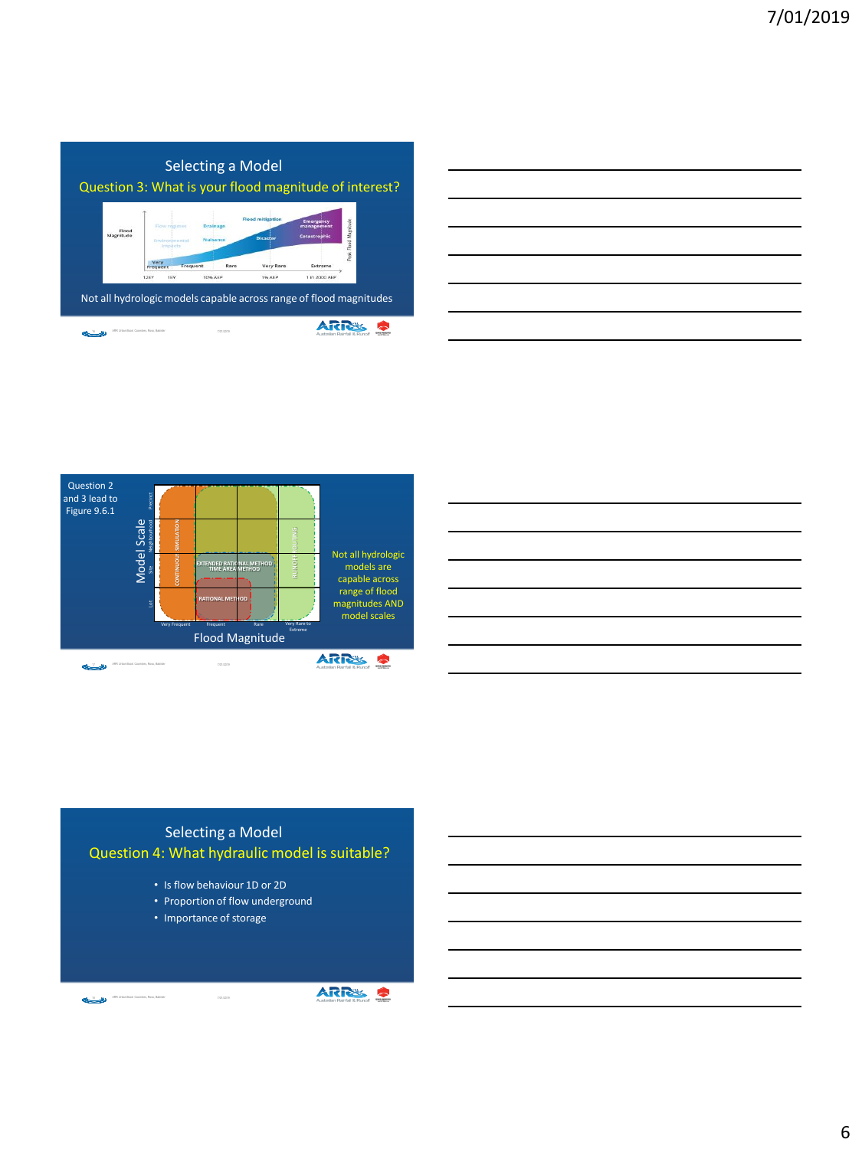

| <u> 1989 - Johann Stoff, amerikansk politiker (d. 1989)</u>                                                                                                                                                                   |  |                               |
|-------------------------------------------------------------------------------------------------------------------------------------------------------------------------------------------------------------------------------|--|-------------------------------|
|                                                                                                                                                                                                                               |  |                               |
|                                                                                                                                                                                                                               |  |                               |
| and the control of the control of the control of the control of the control of the control of the control of the                                                                                                              |  | the control of the control of |
|                                                                                                                                                                                                                               |  |                               |
|                                                                                                                                                                                                                               |  |                               |
|                                                                                                                                                                                                                               |  |                               |
|                                                                                                                                                                                                                               |  |                               |
| and the control of the control of the control of the control of the control of the control of the control of th                                                                                                               |  | _____                         |
|                                                                                                                                                                                                                               |  |                               |
| the control of the control of the control of the control of the control of the control of the control of the control of the control of the control of the control of the control of the control of the control of the control |  | ______                        |
|                                                                                                                                                                                                                               |  |                               |
|                                                                                                                                                                                                                               |  |                               |
|                                                                                                                                                                                                                               |  |                               |
|                                                                                                                                                                                                                               |  |                               |
| the control of the control of the control of the control of the control of the control of the control of the control of the control of the control of the control of the control of the control of the control of the control |  |                               |





# Question 4: What hydraulic model is suitable? Selecting a Model

- Is flow behaviour 1D or 2D
- Proportion of flow underground
- Importance of storage

18 2010 / ARR Urban Book: Coombex, Rose, Babister / 2010 / 2010 / 7/01/2019

ARR Urban Book: Coombes, Roso, Babister

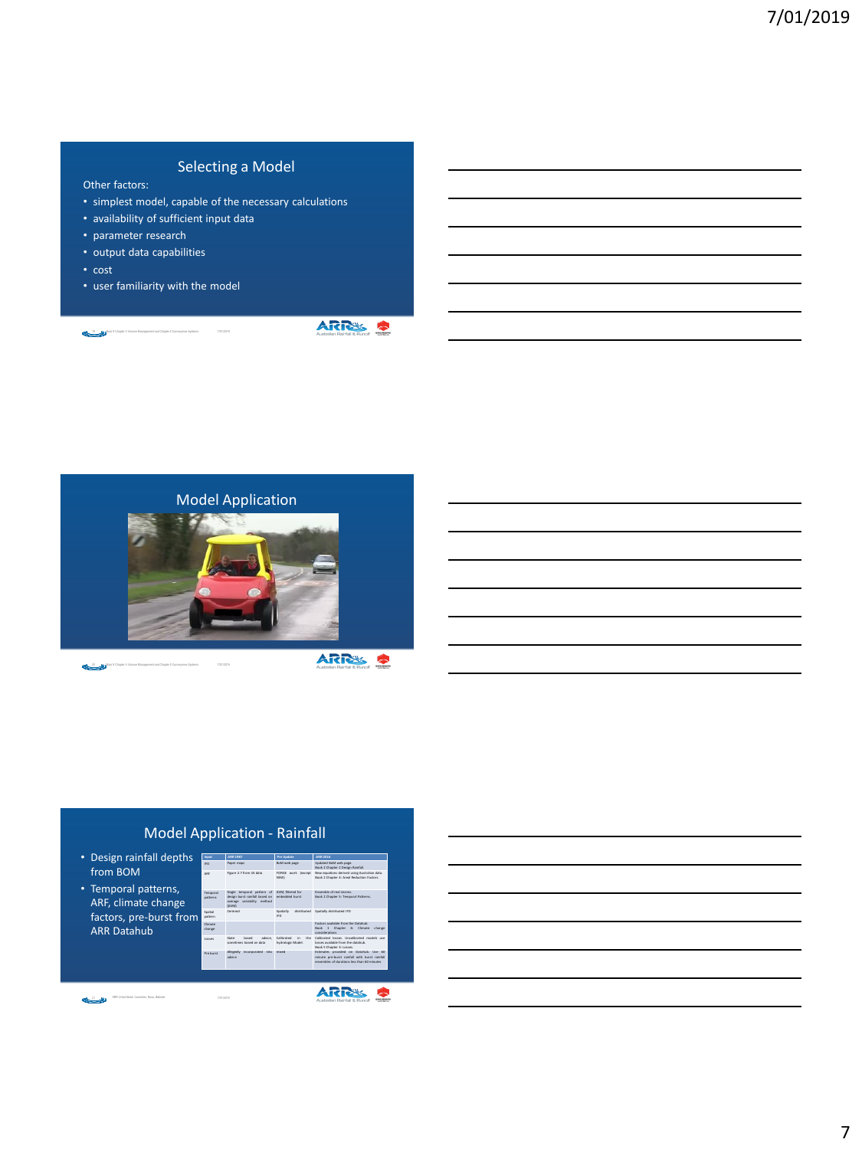# Selecting a Model

- Other factors:
- simplest model, capable of the necessary calculations
- availability of sufficient input data
- parameter research
- output data capabilities
- cost
- user familiarity with the model

19 Book 9 Chapter 4 Volume Management and Chapter 5 Conveyance Systems 7/01/2019

**ARRS S** 



20 Book 9 Chapter 4 Volume Management and Chapter 5 Conveyance Systems 7/01/2019

**ARRS &** 

# Model Application - Rainfall **Input ARR 1987 Pre Update ARR 2016**

• Design rainfall depths from BOM

• Temporal patterns, ARF, climate change factors, pre-burst from ARR Datahub

|                             |                                                                                                     |                                                   | Book 2 Chapter 2 Design Rainfall.                                                                                                     |
|-----------------------------|-----------------------------------------------------------------------------------------------------|---------------------------------------------------|---------------------------------------------------------------------------------------------------------------------------------------|
| ARE                         | Figure 2.7 from US data                                                                             | FORGE work (except<br>NSW1                        | New equations derived using Australian data.<br>Book 2 Chapter 4: Areal Reduction Factors.                                            |
| Terreyral<br><b>CATALOG</b> | Single temporal pattern of<br>design burst rainfall based on<br>average variability method<br>(AVM) | AVM, filtered for<br>embedded burst               | Ensemble of real strong<br>Book 2 Chapter 5: Temporal Patterns.                                                                       |
| leiteoč<br><b>NATION</b>    | Cantrold                                                                                            | Spatially<br>IED.                                 | distributed Spatially distributed IFD                                                                                                 |
| Climate<br>change           |                                                                                                     |                                                   | Eartres available from the Databah<br>Book 1 Chapter 6: Climate change<br>considerations.                                             |
| <b>Costen</b>               | Chahas<br>hasad<br>advice.<br>sometimes hased on data.                                              | Californitud<br>House.<br>'n<br>hydrologic Model. | Calibrated losses, Uncalibrated models use<br>leases sualishin from the databals.<br>Book 5 Chapter 3: Losses.                        |
| Dra humah                   | Allegedly incorporated into mixed<br><b>Advise</b>                                                  |                                                   | Estimates provided on Databub. Use 60<br>minute pre-burst rainfall with burst rainfall<br>assembles of durations less than 60 minutes |
|                             |                                                                                                     |                                                   |                                                                                                                                       |

IFD Paper maps BoM web page Updated BoM web page.

21 NGC 2010 Page 2010 Coombes, Rosa, Babider 2010 Page 2010 7/01/2019 ARR Urban Book: Coombes, Roso, Babister

ARRS 9

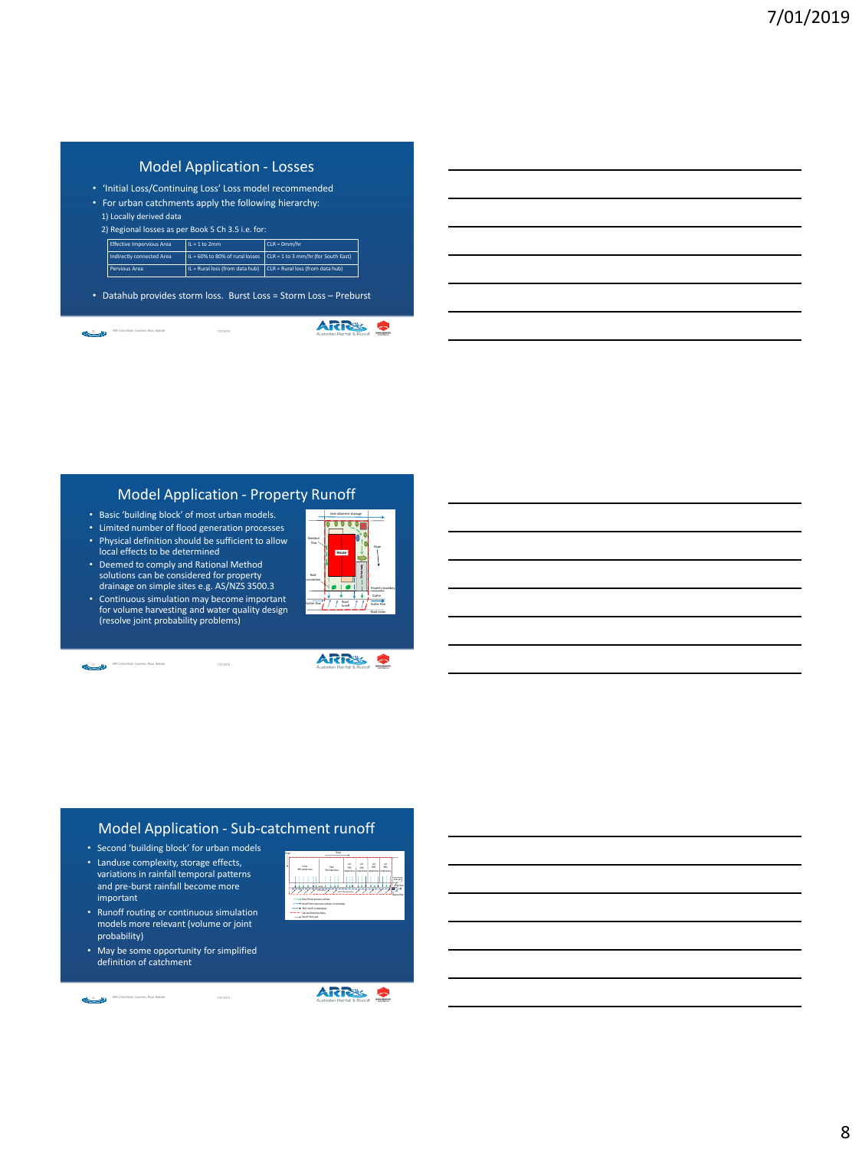# Model Application - Losses

• 'Initial Loss/Continuing Loss' Loss model recommended • For urban catchments apply the following hierarchy:

|                                                   | 1) Locally derived data          |                 |                                                                            |  |  |  |
|---------------------------------------------------|----------------------------------|-----------------|----------------------------------------------------------------------------|--|--|--|
| 2) Regional losses as per Book 5 Ch 3.5 i.e. for: |                                  |                 |                                                                            |  |  |  |
|                                                   | <b>Effective Impervious Area</b> | $IL = 1 to 2mm$ | $CLR = 0mm/hr$                                                             |  |  |  |
|                                                   | <b>Indirectly connected Area</b> |                 | IL = 60% to 80% of rural losses $\int CLR = 1$ to 3 mm/hr (for South East) |  |  |  |
|                                                   | Pervious Area                    |                 | IL = Rural loss (from data hub) $\Big $ CLR = Rural loss (from data hub)   |  |  |  |

• Datahub provides storm loss. Burst Loss = Storm Loss – Preburst

**ARRES S** 22 May 47, MRR Urban Book: Coombes, Roso, Babister 47, 1999 (2019) 7, 1999 (2019)

#### Model Application - Property Runoff

- Basic 'building block' of most urban models.
- Limited number of flood generation processes
- Physical definition should be sufficient to allow local effects to be determined
- Deemed to comply and Rational Method solutions can be considered for property drainage on simple sites e.g. AS/NZS 3500.3
- Continuous simulation may become important for volume harvesting and water quality design (resolve joint probability problems)



Inter-allotment drainage

Roof |

**SE** 101

 $O$  verticed  $\left| \cdot \right|$ 

**Driveway House**

Slope

Gutter

Property boundary

23 ARR Urban Book: Coombes, Roso, Babister Coombes, Roso, Babister



# Model Application - Sub-catchment runoff

- Second 'building block' for urban models
- Landuse complexity, storage effects, variations in rainfall temporal patterns and pre-burst rainfall become more important
- Runoff routing or continuous simulation models more relevant (volume or joint probability)
- May be some opportunity for simplified definition of catchment

24 ARR Urban Book: Coombex, Rosa, Babider Coombex, Park 2014 ARR Urban Book: Coombes, Roso, Babister